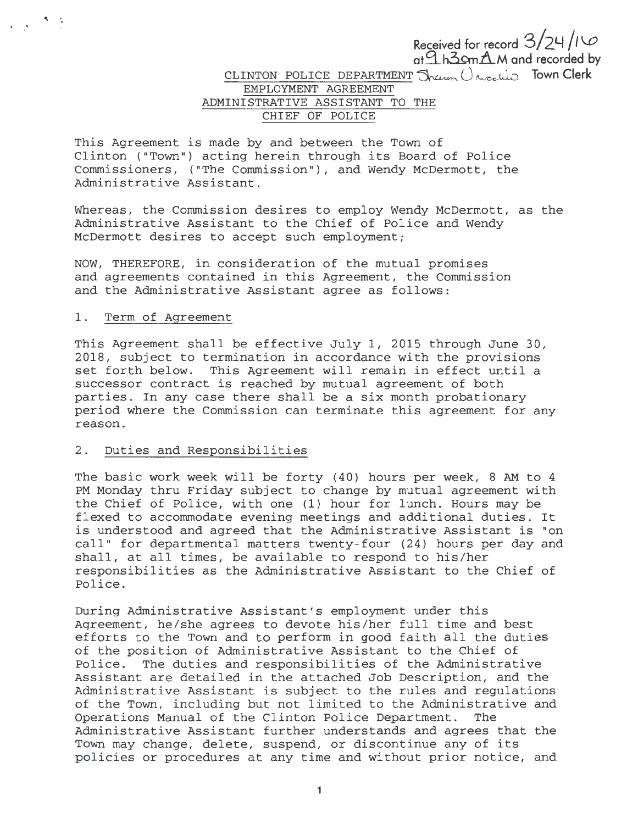**Received for record** 3/2~ */t '-0*  **at.9.J13 ....** ~.6..M **and recorded by**  CLINTON POLICE DEPARTMENT Juen Uncelin Town Clerk EMPLOYMENT AGREEMENT ADMINISTRATIVE ASSISTANT TO THE CHIEF OF POLICE

This Agreement is made by and between the Town of Clinton ("Town") acting herein through its Board of Police Commissioners, ("The Commission") , and Wendy McDermott, the Administrative Assistant .

Whereas, the Commission desires to employ Wendy McDermott, as the Administrative Assistant to the Chief of Police and Wendy McDermott desires to accept such employment;

NOW, THEREFORE, in consideration of the mutual promises and agreements contained in this Agreement, the Commission and the Administrative Assistant agree as follows:

#### 1. Term of Agreement

, . .<br>.<br>.

> This Agreement shall be effective July l, 2015 through June 30, 2018, subject to termination in accordance with the provisions set forth below. This Agreement will remain in effect until a successor contract is reached by mutual agreement of both parties. In any case there shall be a six month probationary period where the Commission can terminate this agreement for any reason .

# 2. Duties and Responsibilities

The basic work week will be forty (40) hours per week, 8 AM to 4 PM Monday thru Friday subject to change by mutual agreement with the Chief of Police, with one (1) hour for lunch. Hours may be flexed to accommodate evening meetings and additional duties. It is understood and agreed that the Administrative Assistant is "on call" for departmental matters twenty-four (24) hours per day and shall, at all times, be available to respond to his/her responsibilities as the Administrative Assistant to the Chief of Police.

During Administrative Assistant's employment under this Agreement, he/she agrees to devote his/her full time and best efforts to the Town and to perform in good faith all the duties of the position of Administrative Assistant to the Chief of Police. The duties and responsibilities of the Administrative Assistant are detailed in the attached Job Description, and the Administrative Assistant is subject to the rules and regulations of the Town, including but not limited to the Administrative and Operations Manual of the Clinton Police Department. The Administrative Assistant further understands and agrees that the Town may change, delete, suspend, or discontinue any of its policies or procedures at any time and without prior notice, and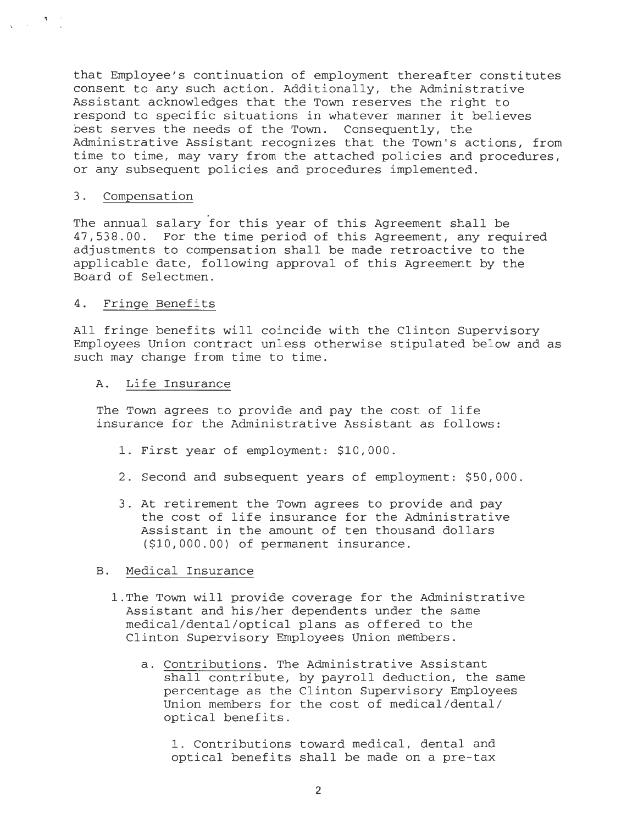that Employee's continuation of employment thereafter constitutes consent to any such action. Additionally, the Administrative Assistant acknowledges that the Town reserves the right to respond to specific situations in whatever manner it believes best serves the needs of the Town. Consequently, the Administrative Assistant recognizes that the Town's actions, from time to time, may vary from the attached policies and procedures, or any subsequent policies and procedures implemented.

### 3. Compensation

 $\label{eq:2} \frac{1}{\sqrt{2\pi}}\left(\frac{1}{\sqrt{2\pi}}\right)^{1/2}\frac{1}{\sqrt{2\pi}}\left(\frac{1}{\sqrt{2\pi}}\right)^{1/2}$ 

The annual salary for this year of this Agreement shall be 47,538.00. For the time period of this Agreement, any required adjustments to compensation shall be made retroactive to the applicable date, following approval of this Agreement by the Board of Selectmen.

### 4. Fringe Benefits

All fringe benefits will coincide with the Clinton Supervisory Employees Union contract unless otherwise stipulated below and as such may change from time to time.

### A. Life Insurance

The Town agrees to provide and pay the cost of life insurance for the Administrative Assistant as follows:

- 1. First year of employment: \$10,000 .
- 2. Second and subsequent years of employment: \$50,000.
- 3. At retirement the Town agrees to provide and pay the cost of life insurance for the Administrative Assistant in the amount of ten thousand dollars (\$10,000.00) of permanent insurance.

### B. Medical Insurance

- 1.The Town will provide coverage for the Administrative Assistant and his/her dependents under the same medical/dental/optical plans as offered to the Clinton Supervisory Employees Union members.
	- a. Contributions. The Administrative Assistant shall contribute, by payroll deduction, the same percentage as the Clinton Supervisory Employees Union members for the cost of medical/dental/ optical benefits.

1. Contributions toward medical, dental and optical benefits shall be made on a pre- tax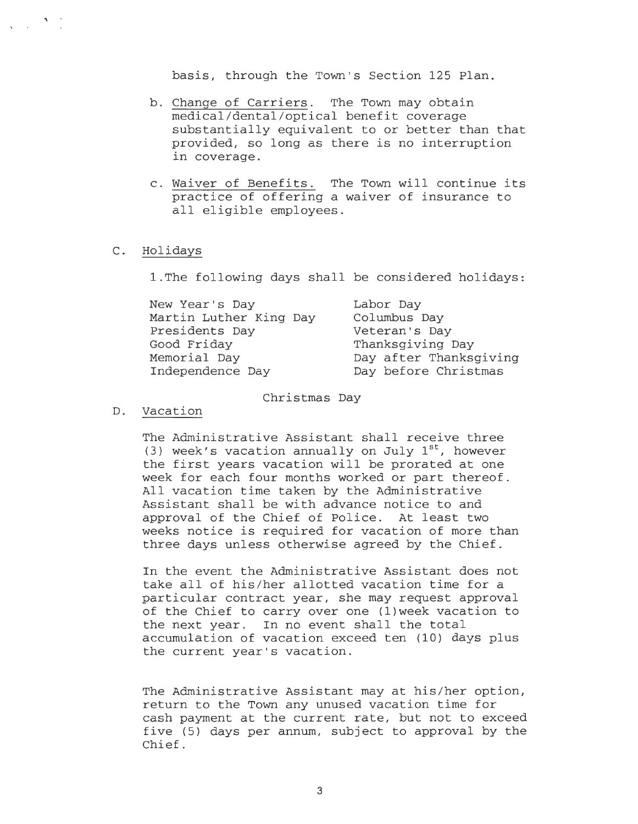basis, through the Town's Section 125 Plan.

- b. Change of Carriers. The Town may obtain medical/dental/optical benefit coverage substantially equivalent to or better than that provided, so long as there is no interruption in coverage.
- c. Waiver of Benefits. The Town will continue its practice of offering a waiver of insurance to all eligible employees.

#### C. Holidays

l.The following days shall be considered holidays:

| New Year's Day         | Labor Day              |
|------------------------|------------------------|
| Martin Luther King Day | Columbus Day           |
| Presidents Day         | Veteran's Day          |
| Good Friday            | Thanksgiving Day       |
| Memorial Day           | Day after Thanksgiving |
| Independence Day       | Day before Christmas   |
|                        |                        |

Christmas Day

#### D. Vacation

The Administrative Assistant shall receive three (3) week's vacation annually on July  $1^{st}$ , however the first years vacation will be prorated at one week for each four months worked or part thereof. All vacation time taken by the Administrative Assistant shall be with advance notice to and approval of the Chief of Police. At least two weeks notice is required for vacation of more than three days unless otherwise agreed by the Chief.

In the event the Administrative Assistant does not take all of his/her allotted vacation time for a particular contract year, she may request approval of the Chief to carry over one (l)week vacation to the next year. In no event shall the total accumulation of vacation exceed ten (10) days plus the current year's vacation.

The Administrative Assistant may at his/her option, return to the Town any unused vacation time for cash payment at the current rate, but not to exceed five (5) days per annum, subject to approval by the Chief.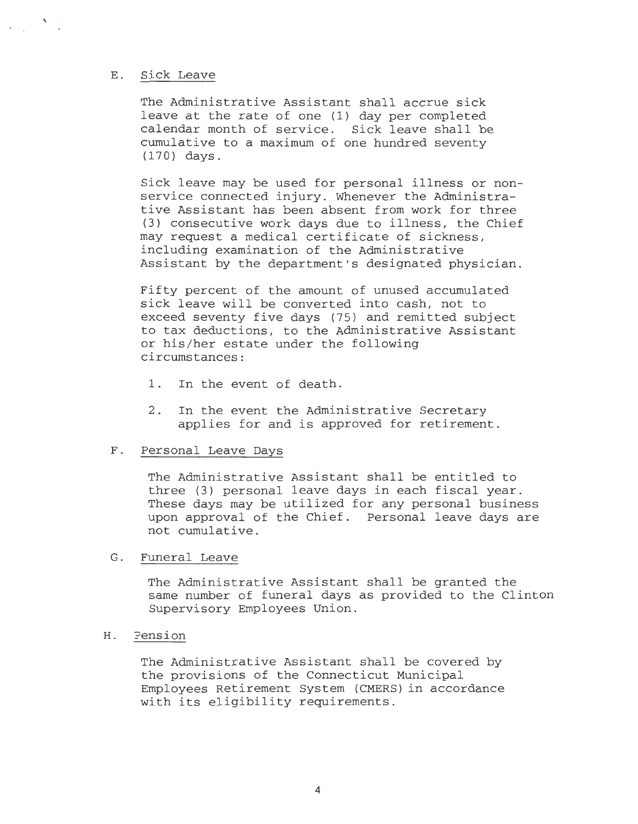#### E. Sick Leave

 $\mathbf{v}$ 

The Administrative Assistant shall accrue sick leave at the rate of one (1) day per completed calendar month of service. Sick leave shall be cumulative to a maximum of one hundred seventy (170) days.

Sick leave may be used for personal illness or nonservice connected injury. Whenever the Administrative Assistant has been absent from work for three (3) consecutive work days due to illness, the Chief may request a medical certificate of sickness, including examination of the Administrative Assistant by the department's designated physician.

Fifty percent of the amount of unused accumulated sick leave will be converted into cash, not to exceed seventy five days (75) and remitted subject to tax deductions, to the Administrative Assistant or his/her estate under the following circumstances:

- 1. In the event of death.
- 2. In the event the Administrative Secretary applies for and is approved for retirement.

#### F. Personal Leave Days

The Administrative Assistant shall be entitled to three (3) personal leave days in each fiscal year. These days may be utilized for any personal business upon approval of the Chief. Personal leave days are not cumulative.

### G. Funeral Leave

The Administrative Assistant shall be granted the same number of funeral days as provided to the Clinton Supervisory Employees Union.

## H. Pension

The Administrative Assistant shall be covered by the provisions of the Connecticut Municipal Employees Retirement System (CMERS) in accordance with its eligibility requirements.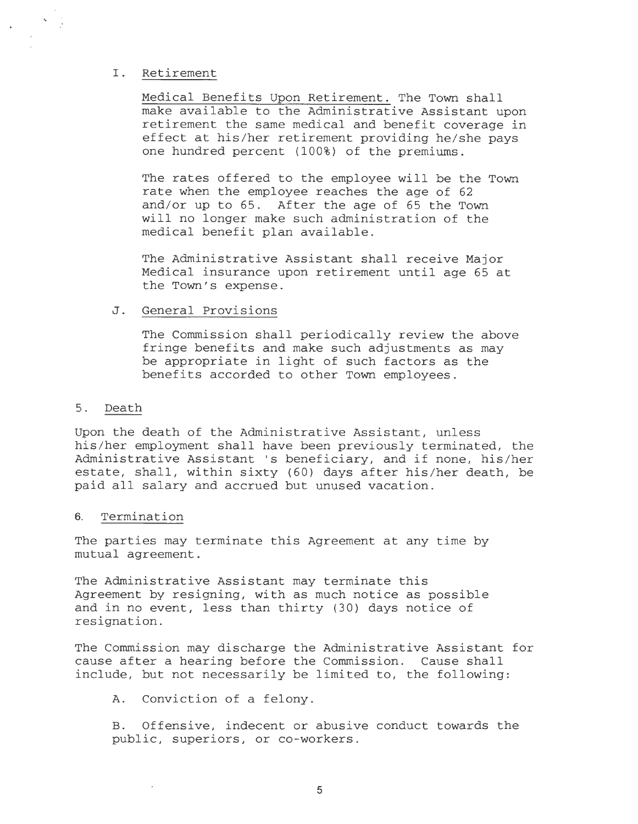### I. Retirement

Medical Benefits Upon Retirement. The Town shall make available to the Administrative Assistant upon retirement the same medical and benefit coverage in effect at his/her retirement providing he/she pays one hundred percent (100%) of the premiums.

The rates offered to the employee will be the Town rate when the employee reaches the age of 62 and/or up to 65. After the age of 65 the Town will no longer make such administration of the medical benefit plan available.

The Administrative Assistant shall receive Major Medical insurance upon retirement until age 65 at the Town's expense.

#### J. General Provisions

The Commission shall periodically review the above fringe benefits and make such adjustments as may be appropriate in light of such factors as the benefits accorded to other Town employees.

#### 5. Death

Upon the death of the Administrative Assistant, unless his/her employment shall have been previously terminated, the Administrative Assistant 's beneficiary, and if none, his/her estate, shall, within sixty (60) days after his/her death, be paid all salary and accrued but unused vacation.

#### 6. Termination

The parties may terminate this Agreement at any time by mutual agreement.

The Administrative Assistant may terminate this Agreement by resigning, with as much notice as possible and in no event, less than thirty (30) days notice of resignation.

The Commission may discharge the Administrative Assistant for cause after a hearing before the Commission. Cause shall include, but not necessarily be limited to, the following:

A. Conviction of a felony.

B. Offensive, indecent or abusive conduct towards the public, superiors, or co-workers.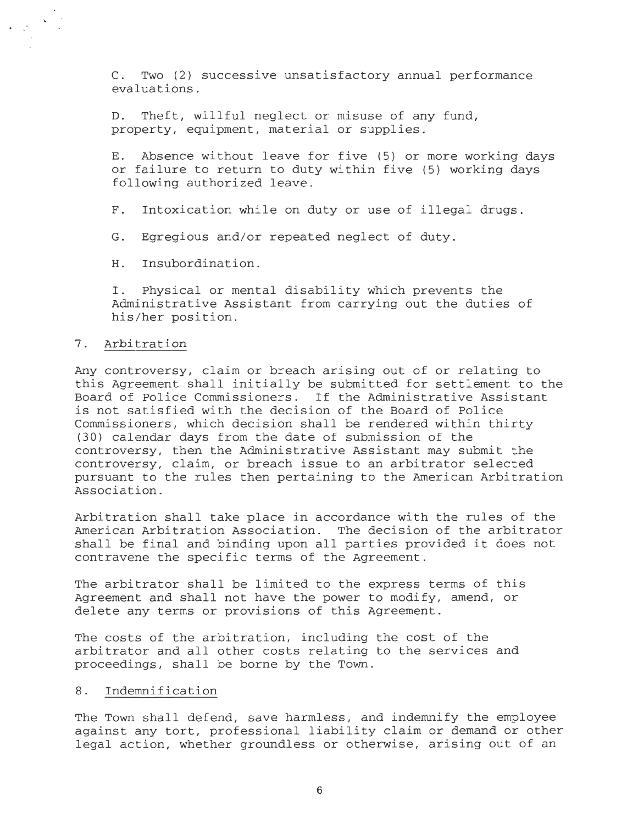C. Two (2) successive unsatisfactory annual performance evaluations .

D. Theft, willful neglect or misuse of any fund, property, equipment, material or supplies .

E. Absence without leave for five (5) or more working days or failure to return to duty within five (5) working days following authorized leave .

F. Intoxication while on duty or use of illegal drugs.

G. Egregious and/or repeated neglect of duty.

H. Insubordination.

I. Physical or mental disability which prevents the Administrative Assistant from carrying out the duties of his/her position.

#### 7. Arbitration

Any controversy, claim or breach arising out of or relating to this Agreement shall initially be submitted for settlement to the Board of Police Commissioners. If the Administrative Assistant is not satisfied with the decision of the Board of Police Commissioners, which decision shall be rendered within thirty (30) calendar days from the date of submission of the controversy, then the Administrative Assistant may submit the controversy, claim, or breach issue to an arbitrator selected pursuant to the rules then pertaining to the American Arbitration Association .

Arbitration shall take place in accordance with the rules of the American Arbitration Association. The decision of the arbitrator shall be final and binding upon all parties provided it does not contravene the specific terms of the Agreement.

The arbitrator shall be limited to the express terms of this Agreement and shall not have the power to modify, amend, or delete any terms or provisions of this Agreement.

The costs of the arbitration, including the cost of the arbitrator and all other costs relating to the services and proceedings, shall be borne by the Town.

### 8. Indemnification

The Town shall defend, save harmless, and indemnify the employee against any tort, professional liability claim or demand or other legal action, whether groundless or otherwise, arising out of an